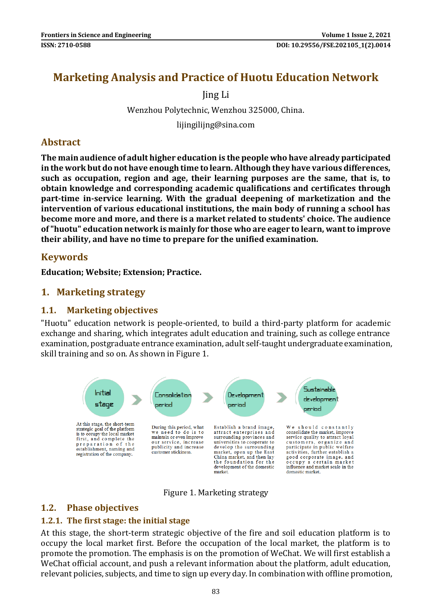# **Marketing Analysis and Practice of Huotu Education Network**

Jing Li

Wenzhou Polytechnic, Wenzhou 325000, China.

lijingilijng@sina.com

### **Abstract**

**The main audience of adult higher education is the people who have already participated in the work but do not have enough time to learn. Although they have various differences, such as occupation, region and age, their learning purposes are the same, that is, to obtain knowledge and corresponding academic qualifications and certificates through part-time in-service learning. With the gradual deepening of marketization and the intervention of various educational institutions, the main body of running a school has become more and more, and there is a market related to students' choice. The audience of "huotu" education network is mainly for those who are eager to learn, want to improve their ability, and have no time to prepare for the unified examination.**

### **Keywords**

**Education; Website; Extension; Practice.**

### **1. Marketing strategy**

#### **1.1. Marketing objectives**

"Huotu" education network is people-oriented, to build a third-party platform for academic exchange and sharing, which integrates adult education and training, such as college entrance examination, postgraduate entrance examination, adult self-taught undergraduate examination, skill training and so on. As shown in Figure 1.



Figure 1. Marketing strategy

#### **1.2. Phase objectives**

#### **1.2.1. The first stage: the initial stage**

At this stage, the short-term strategic objective of the fire and soil education platform is to occupy the local market first. Before the occupation of the local market, the platform is to promote the promotion. The emphasis is on the promotion of WeChat. We will first establish a WeChat official account, and push a relevant information about the platform, adult education, relevant policies, subjects, and time to sign up every day. In combination with offline promotion,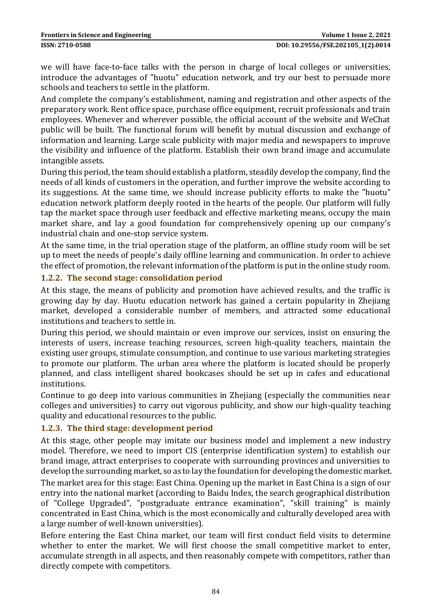we will have face-to-face talks with the person in charge of local colleges or universities, introduce the advantages of "huotu" education network, and try our best to persuade more schools and teachers to settle in the platform.

And complete the company's establishment, naming and registration and other aspects of the preparatory work. Rent office space, purchase office equipment, recruit professionals and train employees. Whenever and wherever possible, the official account of the website and WeChat public will be built. The functional forum will benefit by mutual discussion and exchange of information and learning. Large scale publicity with major media and newspapers to improve the visibility and influence of the platform. Establish their own brand image and accumulate intangible assets.

During this period, the team should establish a platform, steadily develop the company, find the needs of all kinds of customers in the operation, and further improve the website according to its suggestions. At the same time, we should increase publicity efforts to make the "huotu" education network platform deeply rooted in the hearts of the people. Our platform will fully tap the market space through user feedback and effective marketing means, occupy the main market share, and lay a good foundation for comprehensively opening up our company's industrial chain and one-stop service system.

At the same time, in the trial operation stage of the platform, an offline study room will be set up to meet the needs of people's daily offline learning and communication. In order to achieve the effect of promotion, the relevant information of the platform is put in the online study room.

#### **1.2.2. The second stage: consolidation period**

At this stage, the means of publicity and promotion have achieved results, and the traffic is growing day by day. Huotu education network has gained a certain popularity in Zhejiang market, developed a considerable number of members, and attracted some educational institutions and teachers to settle in.

During this period, we should maintain or even improve our services, insist on ensuring the interests of users, increase teaching resources, screen high-quality teachers, maintain the existing user groups, stimulate consumption, and continue to use various marketing strategies to promote our platform. The urban area where the platform is located should be properly planned, and class intelligent shared bookcases should be set up in cafes and educational institutions.

Continue to go deep into various communities in Zhejiang (especially the communities near colleges and universities) to carry out vigorous publicity, and show our high-quality teaching quality and educational resources to the public.

#### **1.2.3. The third stage: development period**

At this stage, other people may imitate our business model and implement a new industry model. Therefore, we need to import CIS (enterprise identification system) to establish our brand image, attract enterprises to cooperate with surrounding provinces and universities to develop the surrounding market, so as to lay the foundation for developing the domestic market.

The market area for this stage: East China. Opening up the market in East China is a sign of our entry into the national market (according to Baidu Index, the search geographical distribution of "College Upgraded", "postgraduate entrance examination", "skill training" is mainly concentrated in East China, which is the most economically and culturally developed area with a large number of well-known universities).

Before entering the East China market, our team will first conduct field visits to determine whether to enter the market. We will first choose the small competitive market to enter, accumulate strength in all aspects, and then reasonably compete with competitors, rather than directly compete with competitors.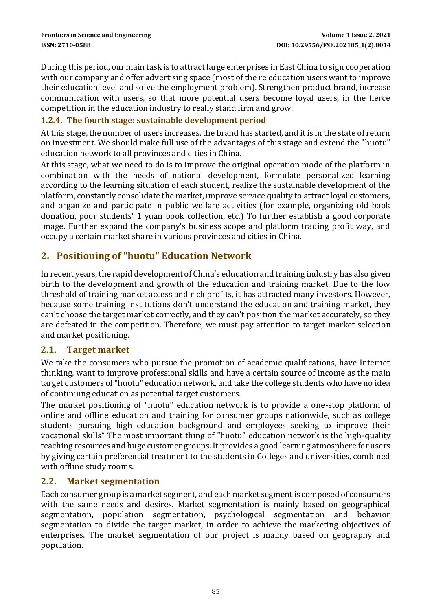During this period, our main task is to attract large enterprises in East China to sign cooperation with our company and offer advertising space (most of the re education users want to improve their education level and solve the employment problem). Strengthen product brand, increase communication with users, so that more potential users become loyal users, in the fierce competition in the education industry to really stand firm and grow.

#### **1.2.4. The fourth stage: sustainable development period**

At this stage, the number of users increases, the brand has started, and it is in the state of return on investment. We should make full use of the advantages of this stage and extend the "huotu" education network to all provinces and cities in China.

At this stage, what we need to do is to improve the original operation mode of the platform in combination with the needs of national development, formulate personalized learning according to the learning situation of each student, realize the sustainable development of the platform, constantly consolidate the market, improve service quality to attract loyal customers, and organize and participate in public welfare activities (for example, organizing old book donation, poor students' 1 yuan book collection, etc.) To further establish a good corporate image. Further expand the company's business scope and platform trading profit way, and occupy a certain market share in various provinces and cities in China.

### **2. Positioning of "huotu" Education Network**

In recent years, the rapid development of China's education and training industry has also given birth to the development and growth of the education and training market. Due to the low threshold of training market access and rich profits, it has attracted many investors. However, because some training institutions don't understand the education and training market, they can't choose the target market correctly, and they can't position the market accurately, so they are defeated in the competition. Therefore, we must pay attention to target market selection and market positioning.

#### **2.1. Target market**

We take the consumers who pursue the promotion of academic qualifications, have Internet thinking, want to improve professional skills and have a certain source of income as the main target customers of "huotu" education network, and take the college students who have no idea of continuing education as potential target customers.

The market positioning of "huotu" education network is to provide a one-stop platform of online and offline education and training for consumer groups nationwide, such as college students pursuing high education background and employees seeking to improve their vocational skills" The most important thing of "huotu" education network is the high-quality teaching resources and huge customer groups. It provides a good learning atmosphere for users by giving certain preferential treatment to the students in Colleges and universities, combined with offline study rooms.

#### **2.2. Market segmentation**

Each consumer group is a market segment, and each market segment is composed of consumers with the same needs and desires. Market segmentation is mainly based on geographical segmentation, population segmentation, psychological segmentation and behavior segmentation to divide the target market, in order to achieve the marketing objectives of enterprises. The market segmentation of our project is mainly based on geography and population.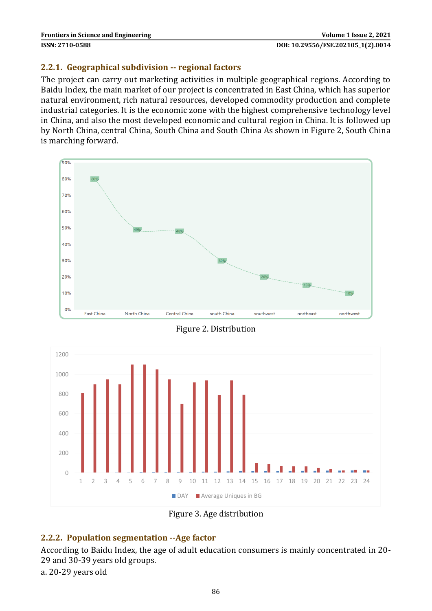#### **2.2.1. Geographical subdivision -- regional factors**

The project can carry out marketing activities in multiple geographical regions. According to Baidu Index, the main market of our project is concentrated in East China, which has superior natural environment, rich natural resources, developed commodity production and complete industrial categories. It is the economic zone with the highest comprehensive technology level in China, and also the most developed economic and cultural region in China. It is followed up by North China, central China, South China and South China As shown in Figure 2, South China is marching forward.



Figure 2. Distribution



Figure 3. Age distribution

### **2.2.2. Population segmentation --Age factor**

According to Baidu Index, the age of adult education consumers is mainly concentrated in 20- 29 and 30-39 years old groups.

a. 20-29 years old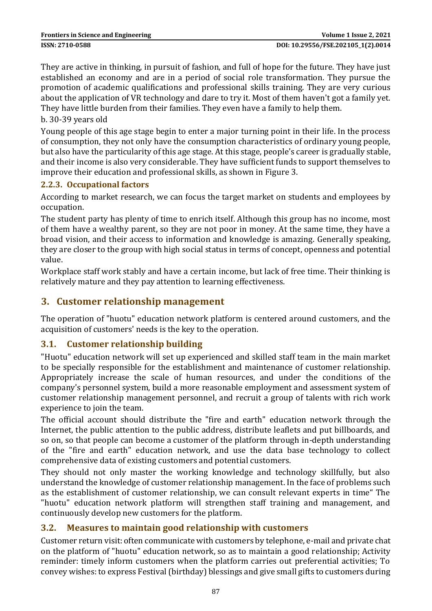They are active in thinking, in pursuit of fashion, and full of hope for the future. They have just established an economy and are in a period of social role transformation. They pursue the promotion of academic qualifications and professional skills training. They are very curious about the application of VR technology and dare to try it. Most of them haven't got a family yet. They have little burden from their families. They even have a family to help them.

b. 30-39 years old

Young people of this age stage begin to enter a major turning point in their life. In the process of consumption, they not only have the consumption characteristics of ordinary young people, but also have the particularity of this age stage. At this stage, people's career is gradually stable, and their income is also very considerable. They have sufficient funds to support themselves to improve their education and professional skills, as shown in Figure 3.

#### **2.2.3. Occupational factors**

According to market research, we can focus the target market on students and employees by occupation.

The student party has plenty of time to enrich itself. Although this group has no income, most of them have a wealthy parent, so they are not poor in money. At the same time, they have a broad vision, and their access to information and knowledge is amazing. Generally speaking, they are closer to the group with high social status in terms of concept, openness and potential value.

Workplace staff work stably and have a certain income, but lack of free time. Their thinking is relatively mature and they pay attention to learning effectiveness.

### **3. Customer relationship management**

The operation of "huotu" education network platform is centered around customers, and the acquisition of customers' needs is the key to the operation.

#### **3.1. Customer relationship building**

"Huotu" education network will set up experienced and skilled staff team in the main market to be specially responsible for the establishment and maintenance of customer relationship. Appropriately increase the scale of human resources, and under the conditions of the company's personnel system, build a more reasonable employment and assessment system of customer relationship management personnel, and recruit a group of talents with rich work experience to join the team.

The official account should distribute the "fire and earth" education network through the Internet, the public attention to the public address, distribute leaflets and put billboards, and so on, so that people can become a customer of the platform through in-depth understanding of the "fire and earth" education network, and use the data base technology to collect comprehensive data of existing customers and potential customers.

They should not only master the working knowledge and technology skillfully, but also understand the knowledge of customer relationship management. In the face of problems such as the establishment of customer relationship, we can consult relevant experts in time" The "huotu" education network platform will strengthen staff training and management, and continuously develop new customers for the platform.

#### **3.2. Measures to maintain good relationship with customers**

Customer return visit: often communicate with customers by telephone, e-mail and private chat on the platform of "huotu" education network, so as to maintain a good relationship; Activity reminder: timely inform customers when the platform carries out preferential activities; To convey wishes: to express Festival (birthday) blessings and give small gifts to customers during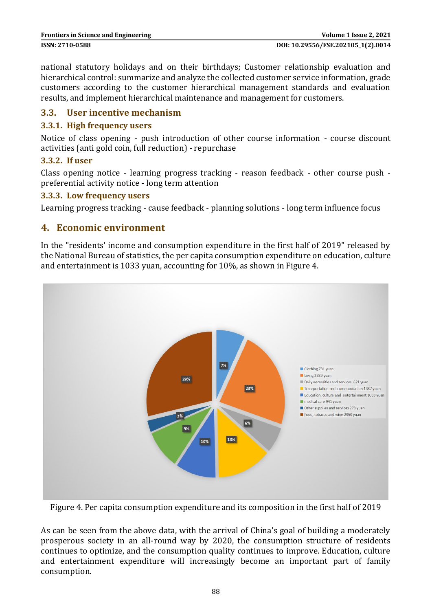national statutory holidays and on their birthdays; Customer relationship evaluation and hierarchical control: summarize and analyze the collected customer service information, grade customers according to the customer hierarchical management standards and evaluation results, and implement hierarchical maintenance and management for customers.

#### **3.3. User incentive mechanism**

#### **3.3.1. High frequency users**

Notice of class opening - push introduction of other course information - course discount activities (anti gold coin, full reduction) - repurchase

#### **3.3.2. If user**

Class opening notice - learning progress tracking - reason feedback - other course push preferential activity notice - long term attention

#### **3.3.3. Low frequency users**

Learning progress tracking - cause feedback - planning solutions - long term influence focus

#### **4. Economic environment**

In the "residents' income and consumption expenditure in the first half of 2019" released by the National Bureau of statistics, the per capita consumption expenditure on education, culture and entertainment is 1033 yuan, accounting for 10%, as shown in Figure 4.



Figure 4. Per capita consumption expenditure and its composition in the first half of 2019

As can be seen from the above data, with the arrival of China's goal of building a moderately prosperous society in an all-round way by 2020, the consumption structure of residents continues to optimize, and the consumption quality continues to improve. Education, culture and entertainment expenditure will increasingly become an important part of family consumption.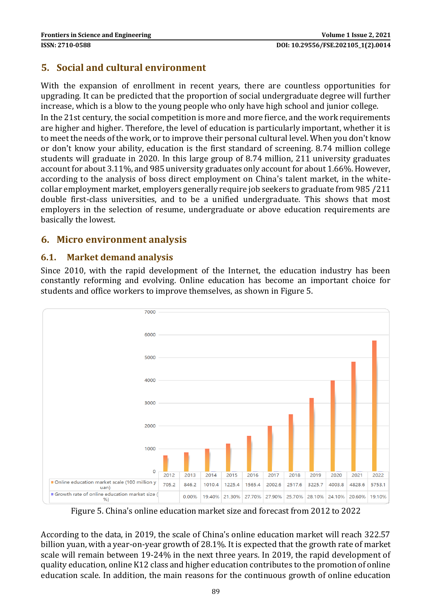## **5. Social and cultural environment**

With the expansion of enrollment in recent years, there are countless opportunities for upgrading. It can be predicted that the proportion of social undergraduate degree will further increase, which is a blow to the young people who only have high school and junior college.

In the 21st century, the social competition is more and more fierce, and the work requirements are higher and higher. Therefore, the level of education is particularly important, whether it is to meet the needs of the work, or to improve their personal cultural level. When you don't know or don't know your ability, education is the first standard of screening. 8.74 million college students will graduate in 2020. In this large group of 8.74 million, 211 university graduates account for about 3.11%, and 985 university graduates only account for about 1.66%. However, according to the analysis of boss direct employment on China's talent market, in the whitecollar employment market, employers generally require job seekers to graduate from 985 /211 double first-class universities, and to be a unified undergraduate. This shows that most employers in the selection of resume, undergraduate or above education requirements are basically the lowest.

### **6. Micro environment analysis**

### **6.1. Market demand analysis**

Since 2010, with the rapid development of the Internet, the education industry has been constantly reforming and evolving. Online education has become an important choice for students and office workers to improve themselves, as shown in Figure 5.



Figure 5. China's online education market size and forecast from 2012 to 2022

According to the data, in 2019, the scale of China's online education market will reach 322.57 billion yuan, with a year-on-year growth of 28.1%. It is expected that the growth rate of market scale will remain between 19-24% in the next three years. In 2019, the rapid development of quality education, online K12 class and higher education contributes to the promotion of online education scale. In addition, the main reasons for the continuous growth of online education